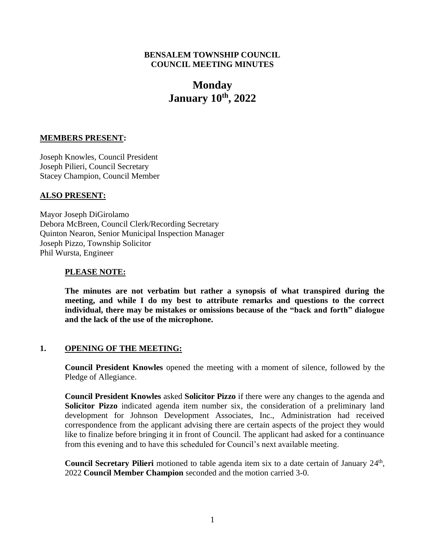### **BENSALEM TOWNSHIP COUNCIL COUNCIL MEETING MINUTES**

# **Monday January 10th, 2022**

# **MEMBERS PRESENT:**

Joseph Knowles, Council President Joseph Pilieri, Council Secretary Stacey Champion, Council Member

### **ALSO PRESENT:**

Mayor Joseph DiGirolamo Debora McBreen, Council Clerk/Recording Secretary Quinton Nearon, Senior Municipal Inspection Manager Joseph Pizzo, Township Solicitor Phil Wursta, Engineer

### **PLEASE NOTE:**

**The minutes are not verbatim but rather a synopsis of what transpired during the meeting, and while I do my best to attribute remarks and questions to the correct individual, there may be mistakes or omissions because of the "back and forth" dialogue and the lack of the use of the microphone.**

# **1. OPENING OF THE MEETING:**

**Council President Knowles** opened the meeting with a moment of silence, followed by the Pledge of Allegiance.

**Council President Knowles** asked **Solicitor Pizzo** if there were any changes to the agenda and **Solicitor Pizzo** indicated agenda item number six, the consideration of a preliminary land development for Johnson Development Associates, Inc., Administration had received correspondence from the applicant advising there are certain aspects of the project they would like to finalize before bringing it in front of Council. The applicant had asked for a continuance from this evening and to have this scheduled for Council's next available meeting.

Council Secretary Pilieri motioned to table agenda item six to a date certain of January 24<sup>th</sup>, 2022 **Council Member Champion** seconded and the motion carried 3-0.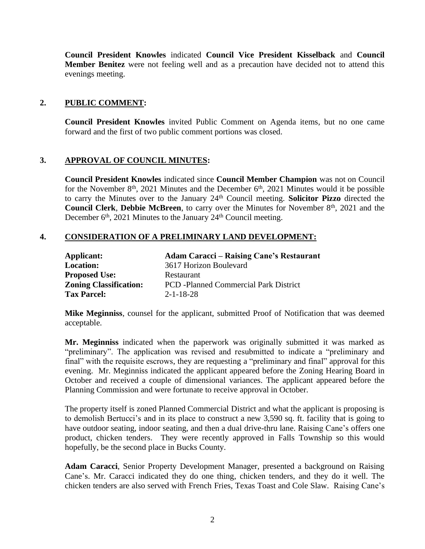**Council President Knowles** indicated **Council Vice President Kisselback** and **Council Member Benitez** were not feeling well and as a precaution have decided not to attend this evenings meeting.

# **2. PUBLIC COMMENT:**

**Council President Knowles** invited Public Comment on Agenda items, but no one came forward and the first of two public comment portions was closed.

# **3. APPROVAL OF COUNCIL MINUTES:**

**Council President Knowles** indicated since **Council Member Champion** was not on Council for the November  $8<sup>th</sup>$ , 2021 Minutes and the December  $6<sup>th</sup>$ , 2021 Minutes would it be possible to carry the Minutes over to the January 24th Council meeting. **Solicitor Pizzo** directed the **Council Clerk, Debbie McBreen**, to carry over the Minutes for November 8<sup>th</sup>, 2021 and the December  $6<sup>th</sup>$ , 2021 Minutes to the January 24<sup>th</sup> Council meeting.

# **4. CONSIDERATION OF A PRELIMINARY LAND DEVELOPMENT:**

| Applicant:                    | <b>Adam Caracci – Raising Cane's Restaurant</b> |
|-------------------------------|-------------------------------------------------|
| <b>Location:</b>              | 3617 Horizon Boulevard                          |
| <b>Proposed Use:</b>          | Restaurant                                      |
| <b>Zoning Classification:</b> | <b>PCD</b> -Planned Commercial Park District    |
| <b>Tax Parcel:</b>            | $2 - 1 - 18 - 28$                               |

**Mike Meginniss**, counsel for the applicant, submitted Proof of Notification that was deemed acceptable.

**Mr. Meginniss** indicated when the paperwork was originally submitted it was marked as "preliminary". The application was revised and resubmitted to indicate a "preliminary and final" with the requisite escrows, they are requesting a "preliminary and final" approval for this evening. Mr. Meginniss indicated the applicant appeared before the Zoning Hearing Board in October and received a couple of dimensional variances. The applicant appeared before the Planning Commission and were fortunate to receive approval in October.

The property itself is zoned Planned Commercial District and what the applicant is proposing is to demolish Bertucci's and in its place to construct a new 3,590 sq. ft. facility that is going to have outdoor seating, indoor seating, and then a dual drive-thru lane. Raising Cane's offers one product, chicken tenders. They were recently approved in Falls Township so this would hopefully, be the second place in Bucks County.

**Adam Caracci**, Senior Property Development Manager, presented a background on Raising Cane's. Mr. Caracci indicated they do one thing, chicken tenders, and they do it well. The chicken tenders are also served with French Fries, Texas Toast and Cole Slaw. Raising Cane's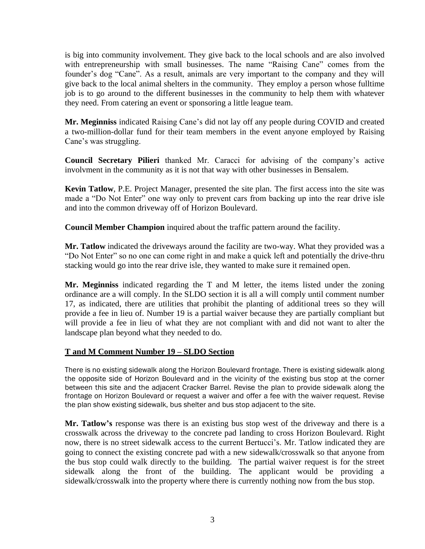is big into community involvement. They give back to the local schools and are also involved with entrepreneurship with small businesses. The name "Raising Cane" comes from the founder's dog "Cane". As a result, animals are very important to the company and they will give back to the local animal shelters in the community. They employ a person whose fulltime job is to go around to the different businesses in the community to help them with whatever they need. From catering an event or sponsoring a little league team.

**Mr. Meginniss** indicated Raising Cane's did not lay off any people during COVID and created a two-million-dollar fund for their team members in the event anyone employed by Raising Cane's was struggling.

**Council Secretary Pilieri** thanked Mr. Caracci for advising of the company's active involvment in the community as it is not that way with other businesses in Bensalem.

**Kevin Tatlow**, P.E. Project Manager, presented the site plan. The first access into the site was made a "Do Not Enter" one way only to prevent cars from backing up into the rear drive isle and into the common driveway off of Horizon Boulevard.

**Council Member Champion** inquired about the traffic pattern around the facility.

**Mr. Tatlow** indicated the driveways around the facility are two-way. What they provided was a "Do Not Enter" so no one can come right in and make a quick left and potentially the drive-thru stacking would go into the rear drive isle, they wanted to make sure it remained open.

**Mr. Meginniss** indicated regarding the T and M letter, the items listed under the zoning ordinance are a will comply. In the SLDO section it is all a will comply until comment number 17, as indicated, there are utilities that prohibit the planting of additional trees so they will provide a fee in lieu of. Number 19 is a partial waiver because they are partially compliant but will provide a fee in lieu of what they are not compliant with and did not want to alter the landscape plan beyond what they needed to do.

# **T and M Comment Number 19 – SLDO Section**

There is no existing sidewalk along the Horizon Boulevard frontage. There is existing sidewalk along the opposite side of Horizon Boulevard and in the vicinity of the existing bus stop at the corner between this site and the adjacent Cracker Barrel. Revise the plan to provide sidewalk along the frontage on Horizon Boulevard or request a waiver and offer a fee with the waiver request. Revise the plan show existing sidewalk, bus shelter and bus stop adjacent to the site.

**Mr. Tatlow's** response was there is an existing bus stop west of the driveway and there is a crosswalk across the driveway to the concrete pad landing to cross Horizon Boulevard. Right now, there is no street sidewalk access to the current Bertucci's. Mr. Tatlow indicated they are going to connect the existing concrete pad with a new sidewalk/crosswalk so that anyone from the bus stop could walk directly to the building. The partial waiver request is for the street sidewalk along the front of the building. The applicant would be providing a sidewalk/crosswalk into the property where there is currently nothing now from the bus stop.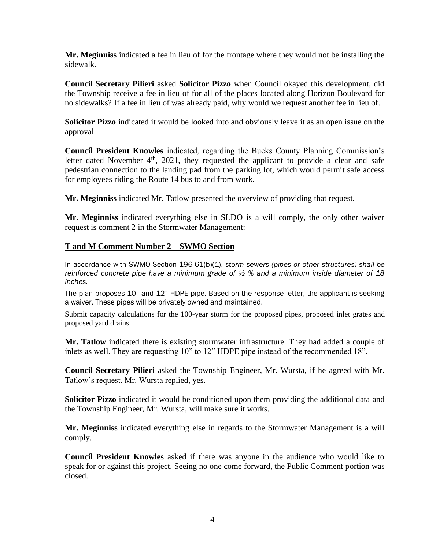**Mr. Meginniss** indicated a fee in lieu of for the frontage where they would not be installing the sidewalk.

**Council Secretary Pilieri** asked **Solicitor Pizzo** when Council okayed this development, did the Township receive a fee in lieu of for all of the places located along Horizon Boulevard for no sidewalks? If a fee in lieu of was already paid, why would we request another fee in lieu of.

**Solicitor Pizzo** indicated it would be looked into and obviously leave it as an open issue on the approval.

**Council President Knowles** indicated, regarding the Bucks County Planning Commission's letter dated November  $4<sup>th</sup>$ , 2021, they requested the applicant to provide a clear and safe pedestrian connection to the landing pad from the parking lot, which would permit safe access for employees riding the Route 14 bus to and from work.

**Mr. Meginniss** indicated Mr. Tatlow presented the overview of providing that request.

**Mr. Meginniss** indicated everything else in SLDO is a will comply, the only other waiver request is comment 2 in the Stormwater Management:

# **T and M Comment Number 2 – SWMO Section**

In accordance with SWMO Section 196-61(b)(1), *storm sewers (pipes or other structures) shall be reinforced concrete pipe have a minimum grade of ½ % and a minimum inside diameter of 18 inches.* 

The plan proposes 10" and 12" HDPE pipe. Based on the response letter, the applicant is seeking a waiver. These pipes will be privately owned and maintained.

Submit capacity calculations for the 100-year storm for the proposed pipes, proposed inlet grates and proposed yard drains.

**Mr. Tatlow** indicated there is existing stormwater infrastructure. They had added a couple of inlets as well. They are requesting 10" to 12" HDPE pipe instead of the recommended 18".

**Council Secretary Pilieri** asked the Township Engineer, Mr. Wursta, if he agreed with Mr. Tatlow's request. Mr. Wursta replied, yes.

**Solicitor Pizzo** indicated it would be conditioned upon them providing the additional data and the Township Engineer, Mr. Wursta, will make sure it works.

**Mr. Meginniss** indicated everything else in regards to the Stormwater Management is a will comply.

**Council President Knowles** asked if there was anyone in the audience who would like to speak for or against this project. Seeing no one come forward, the Public Comment portion was closed.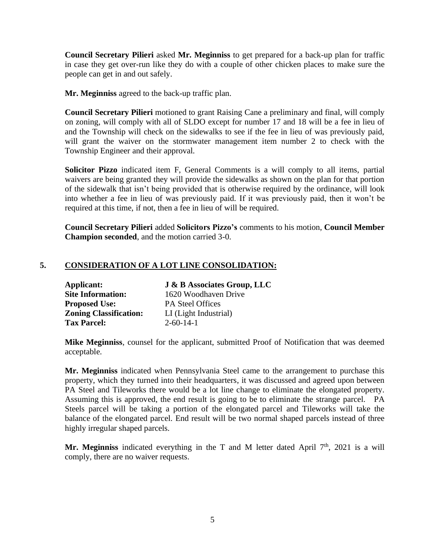**Council Secretary Pilieri** asked **Mr. Meginniss** to get prepared for a back-up plan for traffic in case they get over-run like they do with a couple of other chicken places to make sure the people can get in and out safely.

**Mr. Meginniss** agreed to the back-up traffic plan.

**Council Secretary Pilieri** motioned to grant Raising Cane a preliminary and final, will comply on zoning, will comply with all of SLDO except for number 17 and 18 will be a fee in lieu of and the Township will check on the sidewalks to see if the fee in lieu of was previously paid, will grant the waiver on the stormwater management item number 2 to check with the Township Engineer and their approval.

**Solicitor Pizzo** indicated item F, General Comments is a will comply to all items, partial waivers are being granted they will provide the sidewalks as shown on the plan for that portion of the sidewalk that isn't being provided that is otherwise required by the ordinance, will look into whether a fee in lieu of was previously paid. If it was previously paid, then it won't be required at this time, if not, then a fee in lieu of will be required.

**Council Secretary Pilieri** added **Solicitors Pizzo's** comments to his motion, **Council Member Champion seconded**, and the motion carried 3-0.

# **5. CONSIDERATION OF A LOT LINE CONSOLIDATION:**

| Applicant:                    | <b>J &amp; B Associates Group, LLC</b> |
|-------------------------------|----------------------------------------|
| <b>Site Information:</b>      | 1620 Woodhaven Drive                   |
| <b>Proposed Use:</b>          | <b>PA Steel Offices</b>                |
| <b>Zoning Classification:</b> | LI (Light Industrial)                  |
| <b>Tax Parcel:</b>            | $2 - 60 - 14 - 1$                      |

**Mike Meginniss**, counsel for the applicant, submitted Proof of Notification that was deemed acceptable.

**Mr. Meginniss** indicated when Pennsylvania Steel came to the arrangement to purchase this property, which they turned into their headquarters, it was discussed and agreed upon between PA Steel and Tileworks there would be a lot line change to eliminate the elongated property. Assuming this is approved, the end result is going to be to eliminate the strange parcel. PA Steels parcel will be taking a portion of the elongated parcel and Tileworks will take the balance of the elongated parcel. End result will be two normal shaped parcels instead of three highly irregular shaped parcels.

**Mr. Meginniss** indicated everything in the T and M letter dated April  $7<sup>th</sup>$ , 2021 is a will comply, there are no waiver requests.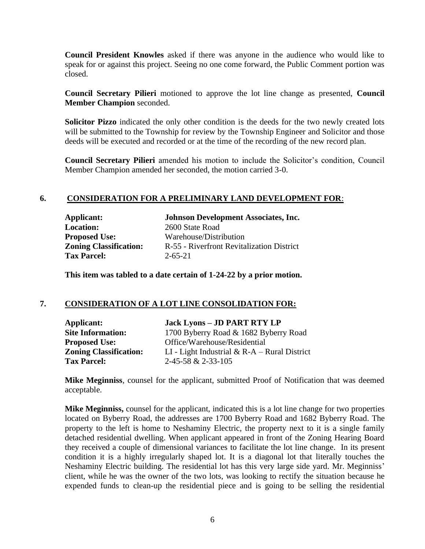**Council President Knowles** asked if there was anyone in the audience who would like to speak for or against this project. Seeing no one come forward, the Public Comment portion was closed.

**Council Secretary Pilieri** motioned to approve the lot line change as presented, **Council Member Champion** seconded.

**Solicitor Pizzo** indicated the only other condition is the deeds for the two newly created lots will be submitted to the Township for review by the Township Engineer and Solicitor and those deeds will be executed and recorded or at the time of the recording of the new record plan.

**Council Secretary Pilieri** amended his motion to include the Solicitor's condition, Council Member Champion amended her seconded, the motion carried 3-0.

# **6. CONSIDERATION FOR A PRELIMINARY LAND DEVELOPMENT FOR**:

**Location:** 2600 State Road **Proposed Use:** Warehouse/Distribution **Tax Parcel:** 2-65-21

**Applicant: Johnson Development Associates, Inc. Zoning Classification:** R-55 - Riverfront Revitalization District

**This item was tabled to a date certain of 1-24-22 by a prior motion.**

### **7. CONSIDERATION OF A LOT LINE CONSOLIDATION FOR:**

| Applicant:                    | <b>Jack Lyons - JD PART RTY LP</b>              |
|-------------------------------|-------------------------------------------------|
| <b>Site Information:</b>      | 1700 Byberry Road & 1682 Byberry Road           |
| <b>Proposed Use:</b>          | Office/Warehouse/Residential                    |
| <b>Zoning Classification:</b> | LI - Light Industrial $\& R-A - Rural District$ |
| <b>Tax Parcel:</b>            | 2-45-58 & 2-33-105                              |

**Mike Meginniss**, counsel for the applicant, submitted Proof of Notification that was deemed acceptable.

**Mike Meginniss,** counsel for the applicant, indicated this is a lot line change for two properties located on Byberry Road, the addresses are 1700 Byberry Road and 1682 Byberry Road. The property to the left is home to Neshaminy Electric, the property next to it is a single family detached residential dwelling. When applicant appeared in front of the Zoning Hearing Board they received a couple of dimensional variances to facilitate the lot line change. In its present condition it is a highly irregularly shaped lot. It is a diagonal lot that literally touches the Neshaminy Electric building. The residential lot has this very large side yard. Mr. Meginniss' client, while he was the owner of the two lots, was looking to rectify the situation because he expended funds to clean-up the residential piece and is going to be selling the residential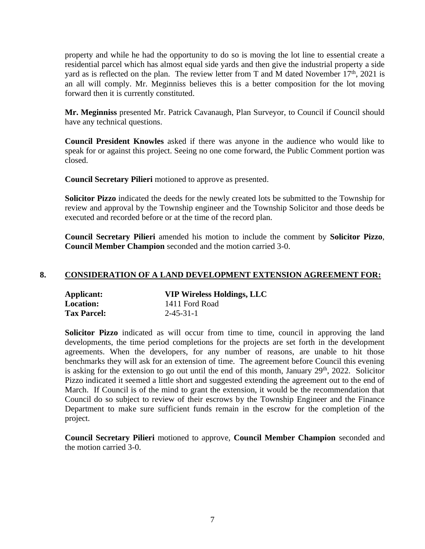property and while he had the opportunity to do so is moving the lot line to essential create a residential parcel which has almost equal side yards and then give the industrial property a side yard as is reflected on the plan. The review letter from T and M dated November  $17<sup>th</sup>$ , 2021 is an all will comply. Mr. Meginniss believes this is a better composition for the lot moving forward then it is currently constituted.

**Mr. Meginniss** presented Mr. Patrick Cavanaugh, Plan Surveyor, to Council if Council should have any technical questions.

**Council President Knowles** asked if there was anyone in the audience who would like to speak for or against this project. Seeing no one come forward, the Public Comment portion was closed.

**Council Secretary Pilieri** motioned to approve as presented.

**Solicitor Pizzo** indicated the deeds for the newly created lots be submitted to the Township for review and approval by the Township engineer and the Township Solicitor and those deeds be executed and recorded before or at the time of the record plan.

**Council Secretary Pilieri** amended his motion to include the comment by **Solicitor Pizzo**, **Council Member Champion** seconded and the motion carried 3-0.

# **8. CONSIDERATION OF A LAND DEVELOPMENT EXTENSION AGREEMENT FOR:**

| Applicant:         | <b>VIP Wireless Holdings, LLC</b> |
|--------------------|-----------------------------------|
| <b>Location:</b>   | 1411 Ford Road                    |
| <b>Tax Parcel:</b> | $2 - 45 - 31 - 1$                 |

**Solicitor Pizzo** indicated as will occur from time to time, council in approving the land developments, the time period completions for the projects are set forth in the development agreements. When the developers, for any number of reasons, are unable to hit those benchmarks they will ask for an extension of time. The agreement before Council this evening is asking for the extension to go out until the end of this month, January  $29<sup>th</sup>$ ,  $2022$ . Solicitor Pizzo indicated it seemed a little short and suggested extending the agreement out to the end of March. If Council is of the mind to grant the extension, it would be the recommendation that Council do so subject to review of their escrows by the Township Engineer and the Finance Department to make sure sufficient funds remain in the escrow for the completion of the project.

**Council Secretary Pilieri** motioned to approve, **Council Member Champion** seconded and the motion carried 3-0.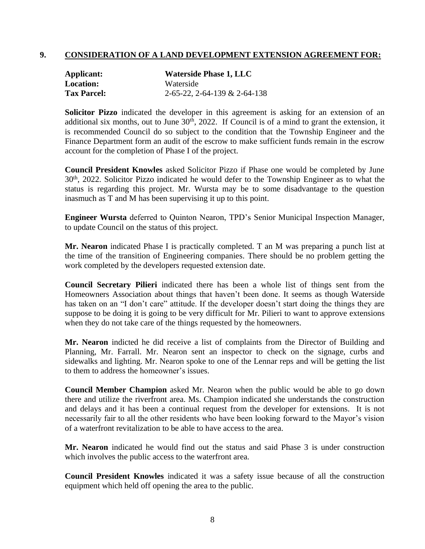# **9. CONSIDERATION OF A LAND DEVELOPMENT EXTENSION AGREEMENT FOR:**

| Applicant:         | <b>Waterside Phase 1, LLC</b>       |
|--------------------|-------------------------------------|
| <b>Location:</b>   | Waterside                           |
| <b>Tax Parcel:</b> | $2-65-22$ , $2-64-139$ & $2-64-138$ |

**Solicitor Pizzo** indicated the developer in this agreement is asking for an extension of an additional six months, out to June  $30<sup>th</sup>$ , 2022. If Council is of a mind to grant the extension, it is recommended Council do so subject to the condition that the Township Engineer and the Finance Department form an audit of the escrow to make sufficient funds remain in the escrow account for the completion of Phase I of the project.

**Council President Knowles** asked Solicitor Pizzo if Phase one would be completed by June 30th, 2022. Solicitor Pizzo indicated he would defer to the Township Engineer as to what the status is regarding this project. Mr. Wursta may be to some disadvantage to the question inasmuch as T and M has been supervising it up to this point.

**Engineer Wursta** deferred to Quinton Nearon, TPD's Senior Municipal Inspection Manager, to update Council on the status of this project.

**Mr. Nearon** indicated Phase I is practically completed. T an M was preparing a punch list at the time of the transition of Engineering companies. There should be no problem getting the work completed by the developers requested extension date.

**Council Secretary Pilieri** indicated there has been a whole list of things sent from the Homeowners Association about things that haven't been done. It seems as though Waterside has taken on an "I don't care" attitude. If the developer doesn't start doing the things they are suppose to be doing it is going to be very difficult for Mr. Pilieri to want to approve extensions when they do not take care of the things requested by the homeowners.

**Mr. Nearon** indicted he did receive a list of complaints from the Director of Building and Planning, Mr. Farrall. Mr. Nearon sent an inspector to check on the signage, curbs and sidewalks and lighting. Mr. Nearon spoke to one of the Lennar reps and will be getting the list to them to address the homeowner's issues.

**Council Member Champion** asked Mr. Nearon when the public would be able to go down there and utilize the riverfront area. Ms. Champion indicated she understands the construction and delays and it has been a continual request from the developer for extensions. It is not necessarily fair to all the other residents who have been looking forward to the Mayor's vision of a waterfront revitalization to be able to have access to the area.

**Mr. Nearon** indicated he would find out the status and said Phase 3 is under construction which involves the public access to the waterfront area.

**Council President Knowles** indicated it was a safety issue because of all the construction equipment which held off opening the area to the public.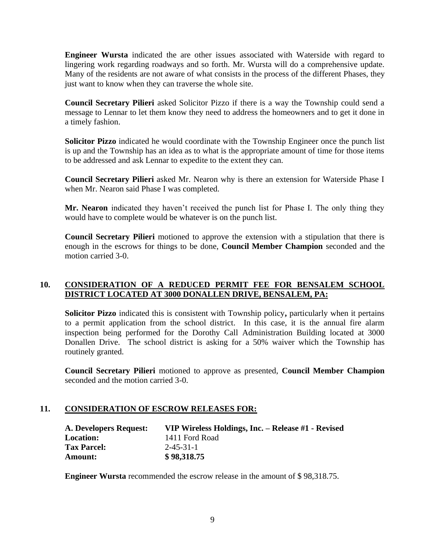**Engineer Wursta** indicated the are other issues associated with Waterside with regard to lingering work regarding roadways and so forth. Mr. Wursta will do a comprehensive update. Many of the residents are not aware of what consists in the process of the different Phases, they just want to know when they can traverse the whole site.

**Council Secretary Pilieri** asked Solicitor Pizzo if there is a way the Township could send a message to Lennar to let them know they need to address the homeowners and to get it done in a timely fashion.

**Solicitor Pizzo** indicated he would coordinate with the Township Engineer once the punch list is up and the Township has an idea as to what is the appropriate amount of time for those items to be addressed and ask Lennar to expedite to the extent they can.

**Council Secretary Pilieri** asked Mr. Nearon why is there an extension for Waterside Phase I when Mr. Nearon said Phase I was completed.

**Mr. Nearon** indicated they haven't received the punch list for Phase I. The only thing they would have to complete would be whatever is on the punch list.

**Council Secretary Pilieri** motioned to approve the extension with a stipulation that there is enough in the escrows for things to be done, **Council Member Champion** seconded and the motion carried 3-0.

# **10. CONSIDERATION OF A REDUCED PERMIT FEE FOR BENSALEM SCHOOL DISTRICT LOCATED AT 3000 DONALLEN DRIVE, BENSALEM, PA:**

**Solicitor Pizzo** indicated this is consistent with Township policy**,** particularly when it pertains to a permit application from the school district. In this case, it is the annual fire alarm inspection being performed for the Dorothy Call Administration Building located at 3000 Donallen Drive. The school district is asking for a 50% waiver which the Township has routinely granted.

**Council Secretary Pilieri** motioned to approve as presented, **Council Member Champion** seconded and the motion carried 3-0.

### **11. CONSIDERATION OF ESCROW RELEASES FOR:**

| <b>A. Developers Request:</b> | VIP Wireless Holdings, Inc. – Release #1 - Revised |
|-------------------------------|----------------------------------------------------|
| <b>Location:</b>              | 1411 Ford Road                                     |
| <b>Tax Parcel:</b>            | $2 - 45 - 31 - 1$                                  |
| <b>Amount:</b>                | \$98,318.75                                        |

**Engineer Wursta** recommended the escrow release in the amount of \$ 98,318.75.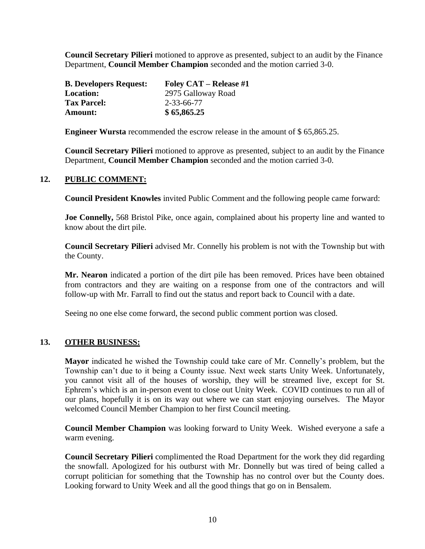**Council Secretary Pilieri** motioned to approve as presented, subject to an audit by the Finance Department, **Council Member Champion** seconded and the motion carried 3-0.

| <b>B. Developers Request:</b> | <b>Foley CAT – Release #1</b> |
|-------------------------------|-------------------------------|
| <b>Location:</b>              | 2975 Galloway Road            |
| <b>Tax Parcel:</b>            | 2-33-66-77                    |
| Amount:                       | \$65,865.25                   |

**Engineer Wursta** recommended the escrow release in the amount of \$ 65,865.25.

**Council Secretary Pilieri** motioned to approve as presented, subject to an audit by the Finance Department, **Council Member Champion** seconded and the motion carried 3-0.

### **12. PUBLIC COMMENT:**

**Council President Knowles** invited Public Comment and the following people came forward:

**Joe Connelly,** 568 Bristol Pike, once again, complained about his property line and wanted to know about the dirt pile.

**Council Secretary Pilieri** advised Mr. Connelly his problem is not with the Township but with the County.

**Mr. Nearon** indicated a portion of the dirt pile has been removed. Prices have been obtained from contractors and they are waiting on a response from one of the contractors and will follow-up with Mr. Farrall to find out the status and report back to Council with a date.

Seeing no one else come forward, the second public comment portion was closed.

#### **13. OTHER BUSINESS:**

**Mayor** indicated he wished the Township could take care of Mr. Connelly's problem, but the Township can't due to it being a County issue. Next week starts Unity Week. Unfortunately, you cannot visit all of the houses of worship, they will be streamed live, except for St. Ephrem's which is an in-person event to close out Unity Week. COVID continues to run all of our plans, hopefully it is on its way out where we can start enjoying ourselves. The Mayor welcomed Council Member Champion to her first Council meeting.

**Council Member Champion** was looking forward to Unity Week. Wished everyone a safe a warm evening.

**Council Secretary Pilieri** complimented the Road Department for the work they did regarding the snowfall. Apologized for his outburst with Mr. Donnelly but was tired of being called a corrupt politician for something that the Township has no control over but the County does. Looking forward to Unity Week and all the good things that go on in Bensalem.